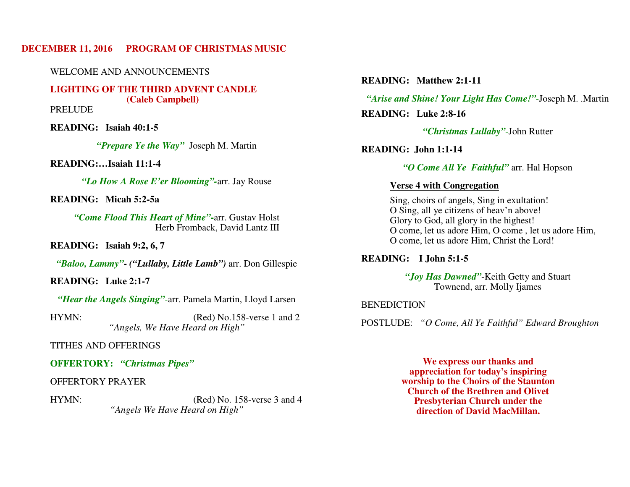# **DECEMBER 11, 2016 PROGRAM OF CHRISTMAS MUSIC**

WELCOME AND ANNOUNCEMENTS

**LIGHTING OF THE THIRD ADVENT CANDLE (Caleb Campbell)** 

PRELUDE

 **READING: Isaiah 40:1-5** 

*"Prepare Ye the Way"* Joseph M. Martin

 **READING:…Isaiah 11:1-4** 

*"Lo How A Rose E'er Blooming"-*arr. Jay Rouse

**READING: Micah 5:2-5a** 

*"Come Flood This Heart of Mine"***-**arr. Gustav Holst Herb Fromback, David Lantz III

**READING: Isaiah 9:2, 6, 7** 

*"Baloo, Lammy"***-** *("Lullaby, Little Lamb")* arr. Don Gillespie

**READING: Luke 2:1-7** 

*"Hear the Angels Singing"-*arr. Pamela Martin, Lloyd Larsen

HYMN: (Red) No.158-verse 1 and 2 *"Angels, We Have Heard on High"* 

TITHES AND OFFERINGS

**OFFERTORY:** *"Christmas Pipes"* 

OFFERTORY PRAYER

HYMN: (Red) No. 158-verse 3 and 4 *"Angels We Have Heard on High"* 

**READING: Matthew 2:1-11** 

*"Arise and Shine! Your Light Has Come!"*-Joseph M. .Martin **READING: Luke 2:8-16** 

*"Christmas Lullaby"*-John Rutter

**READING: John 1:1-14** 

*"O Come All Ye Faithful"* arr. Hal Hopson

# **Verse 4 with Congregation**

 Sing, choirs of angels, Sing in exultation! O Sing, all ye citizens of heav'n above! Glory to God, all glory in the highest! O come, let us adore Him, O come , let us adore Him, O come, let us adore Him, Christ the Lord!

 **READING: I John 5:1-5** 

*"Joy Has Dawned"*-Keith Getty and Stuart Townend, arr. Molly Ijames

# **BENEDICTION**

POSTLUDE: *"O Come, All Ye Faithful" Edward Broughton*

**We express our thanks and appreciation for today's inspiring worship to the Choirs of the Staunton Church of the Brethren and Olivet Presbyterian Church under the direction of David MacMillan.**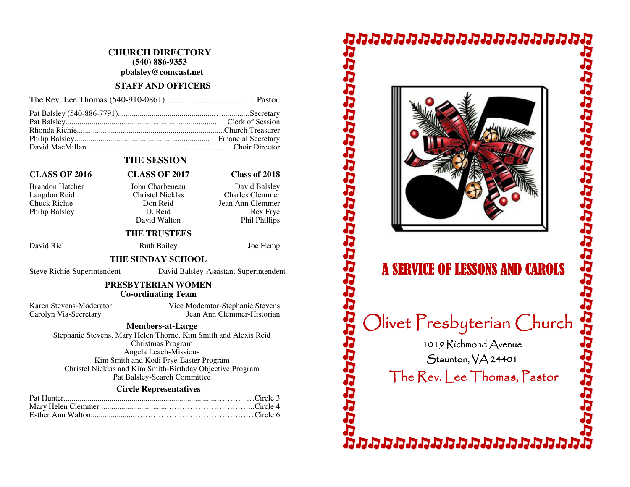# **CHURCH DIRECTORY (540) 886-9353 pbalsley@comcast.net**

#### **STAFF AND OFFICERS**

# **THE SESSION**

# **CLASS OF 2016 CLASS OF 2017 Class of 2018**

Brandon Hatcher John Charbeneau David Balsley Philip Balsley D. Reid

 Langdon Reid Christel Nicklas Charles Clemmer Chuck Richie Don Reid Jean Ann Clemmer David Walton

# **THE TRUSTEES**

David Riel Ruth Bailey Joe Hemp

#### **THE SUNDAY SCHOOL**

Steve Richie-Superintendent David Balsley-Assistant Superintendent

Rex Frye

わりらけらしらし いいしついん けんさん いんしょう

Phil Phillips

#### **PRESBYTERIAN WOMEN Co-ordinating Team**

Karen Stevens-Moderator Vice Moderator-Stephanie Stevens Carolyn Via-Secretary Jean Ann Clemmer-Historian

#### **Members-at-Large**

 Stephanie Stevens, Mary Helen Thorne, Kim Smith and Alexis Reid Christmas Program Angela Leach-Missions Kim Smith and Kodi Frye-Easter Program Christel Nicklas and Kim Smith-Birthday Objective Program Pat Balsley-Search Committee

#### **Circle Representatives**

# **DAAAAAAAAAAAAAAAAAA**



# **A SERVICE OF LESSONS AND CAROLS**

Olivet Presbyterian Church

1019 Richmond Avenue

 $S$ taunton,  $VA$  24401 The  $\mathsf{Rev}$ . Lee Thomas, Pastor

aaaaaaaaaaaaaaa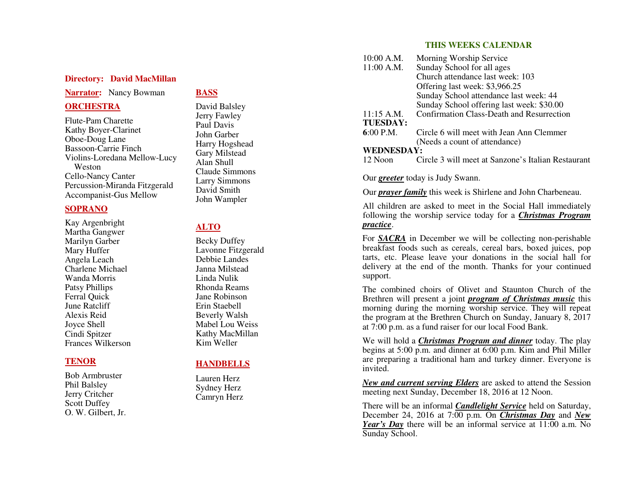### **Directory: David MacMillan**

#### **Narrator:** Nancy Bowman

#### **ORCHESTRA**

Flute-Pam Charette Kathy Boyer-Clarinet Oboe-Doug Lane Bassoon-Carrie Finch Violins-Loredana Mellow-Lucy Weston Cello-Nancy Canter Percussion-Miranda Fitzgerald Accompanist-Gus Mellow

#### **SOPRANO**

Kay Argenbright Martha Gangwer Marilyn Garber Mary Huffer Angela Leach Charlene Michael Wanda Morris Patsy Phillips Ferral Quick June Ratcliff Alexis Reid Joyce Shell Cindi Spitzer Frances Wilkerson

## **TENOR**

Bob Armbruster Phil Balsley Jerry Critcher Scott Duffey O. W. Gilbert, Jr.

# **BASS**

David Balsley Jerry Fawley Paul Davis John Garber Harry Hogshead Gary Milstead Alan Shull Claude Simmons Larry Simmons David Smith John Wampler

# **ALTO**

Becky Duffey Lavonne Fitzgerald Debbie Landes Janna Milstead Linda Nulik Rhonda Reams Jane Robinson Erin Staebell Beverly Walsh Mabel Lou Weiss Kathy MacMillan Kim Weller

# **HANDBELLS**

Lauren Herz Sydney Herz Camryn Herz

#### **THIS WEEKS CALENDAR**

| 10:00 A.M.      | Morning Worship Service                            |
|-----------------|----------------------------------------------------|
| 11:00 A.M.      | Sunday School for all ages                         |
|                 | Church attendance last week: 103                   |
|                 | Offering last week: \$3,966.25                     |
|                 | Sunday School attendance last week: 44             |
|                 | Sunday School offering last week: \$30.00          |
| 11:15 A.M.      | Confirmation Class-Death and Resurrection          |
| <b>TUESDAY:</b> |                                                    |
| $6:00$ P.M.     | Circle 6 will meet with Jean Ann Clemmer           |
|                 | (Needs a count of attendance)                      |
| WEDNESDAY:      |                                                    |
| 12 Noon         | Circle 3 will meet at Sanzone's Italian Restaurant |
|                 |                                                    |

Our *greeter* today is Judy Swann.

Our *prayer family* this week is Shirlene and John Charbeneau.

All children are asked to meet in the Social Hall immediately following the worship service today for a *Christmas Program practice*.

For **SACRA** in December we will be collecting non-perishable breakfast foods such as cereals, cereal bars, boxed juices, pop tarts, etc. Please leave your donations in the social hall for delivery at the end of the month. Thanks for your continued support.

The combined choirs of Olivet and Staunton Church of the Brethren will present a joint *program of Christmas music* this morning during the morning worship service. They will repeat the program at the Brethren Church on Sunday, January 8, 2017 at 7:00 p.m. as a fund raiser for our local Food Bank.

We will hold a *Christmas Program and dinner* today. The play begins at 5:00 p.m. and dinner at 6:00 p.m. Kim and Phil Miller are preparing a traditional ham and turkey dinner. Everyone is invited.

*New and current serving Elders* are asked to attend the Session meeting next Sunday, December 18, 2016 at 12 Noon.

There will be an informal *Candlelight Service* held on Saturday, December 24, 2016 at 7:00 p.m. On *Christmas Day* and *New Year's Day* there will be an informal service at 11:00 a.m. NoSunday School.